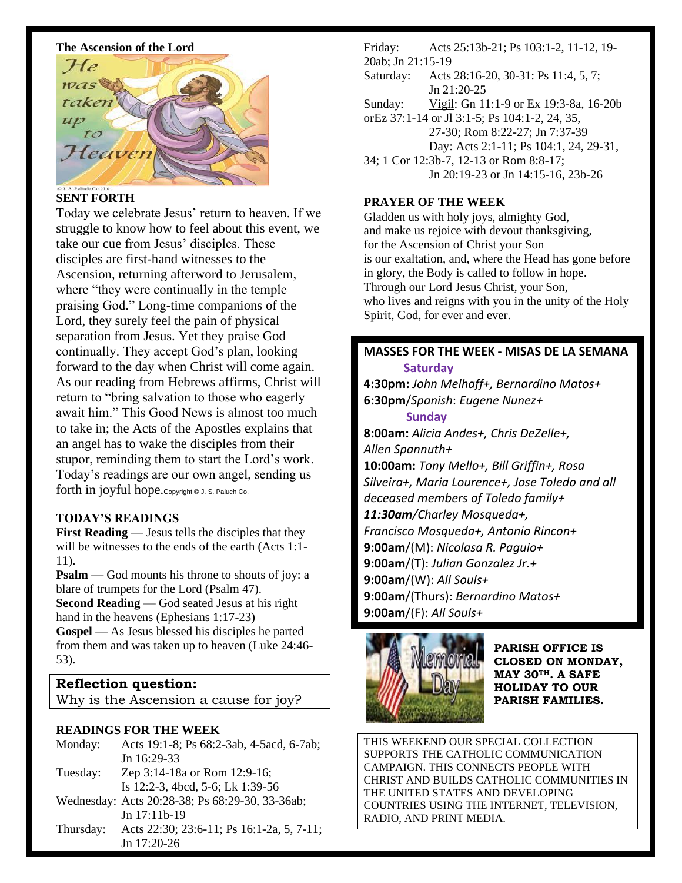### **The Ascension of the Lord**



### **SENT FORTH**

Today we celebrate Jesus' return to heaven. If we struggle to know how to feel about this event, we take our cue from Jesus' disciples. These disciples are first-hand witnesses to the Ascension, returning afterword to Jerusalem, where "they were continually in the temple" praising God." Long-time companions of the Lord, they surely feel the pain of physical separation from Jesus. Yet they praise God continually. They accept God's plan, looking forward to the day when Christ will come again. As our reading from Hebrews affirms, Christ will return to "bring salvation to those who eagerly await him." This Good News is almost too much to take in; the Acts of the Apostles explains that an angel has to wake the disciples from their stupor, reminding them to start the Lord's work. Today's readings are our own angel, sending us forth in joyful hope.copyright @ J. S. Paluch Co.

## **TODAY'S READINGS**

**First Reading** — Jesus tells the disciples that they will be witnesses to the ends of the earth (Acts 1:1-11).

**Psalm** — God mounts his throne to shouts of joy: a blare of trumpets for the Lord (Psalm 47).

**Second Reading** — God seated Jesus at his right hand in the heavens (Ephesians 1:17-23)

**Gospel** — As Jesus blessed his disciples he parted from them and was taken up to heaven (Luke 24:46- 53).

# **Reflection question:**

Why is the Ascension a cause for joy?

# **READINGS FOR THE WEEK**

| Monday:   | Acts 19:1-8; Ps 68:2-3ab, 4-5acd, 6-7ab;        |
|-----------|-------------------------------------------------|
|           | Jn 16:29-33                                     |
| Tuesday:  | Zep 3:14-18a or Rom 12:9-16;                    |
|           | Is 12:2-3, 4bcd, 5-6; Lk 1:39-56                |
|           | Wednesday: Acts 20:28-38; Ps 68:29-30, 33-36ab; |
|           | Jn 17:11b-19                                    |
| Thursday: | Acts 22:30; 23:6-11; Ps 16:1-2a, 5, 7-11;       |
|           | Jn 17:20-26                                     |

Friday: Acts 25:13b-21; Ps 103:1-2, 11-12, 19- 20ab; Jn 21:15-19 Saturday: Acts 28:16-20, 30-31: Ps 11:4, 5, 7; Jn 21:20-25 Sunday: Vigil: Gn 11:1-9 or Ex 19:3-8a, 16-20b orEz 37:1-14 or Jl 3:1-5; Ps 104:1-2, 24, 35, 27-30; Rom 8:22-27; Jn 7:37-39 Day: Acts 2:1-11; Ps 104:1, 24, 29-31, 34; 1 Cor 12:3b-7, 12-13 or Rom 8:8-17; Jn 20:19-23 or Jn 14:15-16, 23b-26

## **PRAYER OF THE WEEK**

Gladden us with holy joys, almighty God, and make us rejoice with devout thanksgiving, for the Ascension of Christ your Son is our exaltation, and, where the Head has gone before in glory, the Body is called to follow in hope. Through our Lord Jesus Christ, your Son, who lives and reigns with you in the unity of the Holy Spirit, God, for ever and ever.

## **MASSES FOR THE WEEK - MISAS DE LA SEMANA Saturday**

**4:30pm:** *John Melhaff+, Bernardino Matos+* **6:30pm**/*Spanish*: *Eugene Nunez+*

 **Sunday**

**8:00am:** *Alicia Andes+, Chris DeZelle+, Allen Spannuth+* **10:00am:** *Tony Mello+, Bill Griffin+, Rosa Silveira+, Maria Lourence+, Jose Toledo and all deceased members of Toledo family+ 11:30am/Charley Mosqueda+, Francisco Mosqueda+, Antonio Rincon+* **9:00am**/(M): *Nicolasa R. Paguio+* **9:00am**/(T): *Julian Gonzalez Jr.+*  **9:00am**/(W): *All Souls+* **9:00am**/(Thurs): *Bernardino Matos+* **9:00am**/(F): *All Souls+*



**PARISH OFFICE IS CLOSED ON MONDAY, MAY 30TH. A SAFE HOLIDAY TO OUR PARISH FAMILIES.**

THIS WEEKEND OUR SPECIAL COLLECTION SUPPORTS THE CATHOLIC COMMUNICATION CAMPAIGN. THIS CONNECTS PEOPLE WITH CHRIST AND BUILDS CATHOLIC COMMUNITIES IN THE UNITED STATES AND DEVELOPING COUNTRIES USING THE INTERNET, TELEVISION, RADIO, AND PRINT MEDIA.